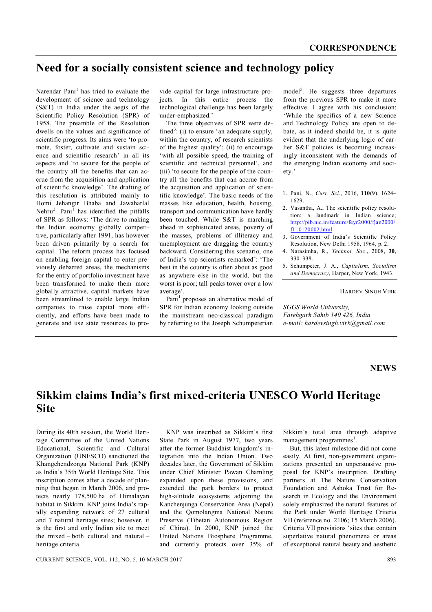## **Need for a socially consistent science and technology policy**

Narendar Pani<sup>1</sup> has tried to evaluate the development of science and technology (S&T) in India under the aegis of the Scientific Policy Resolution (SPR) of 1958. The preamble of the Resolution dwells on the values and significance of scientific progress. Its aims were 'to promote, foster, cultivate and sustain science and scientific research' in all its aspects and 'to secure for the people of the country all the benefits that can accrue from the acquisition and application of scientific knowledge'. The drafting of this resolution is attributed mainly to Homi Jehangir Bhaba and Jawaharlal Nehru<sup>2</sup>. Pani<sup>1</sup> has identified the pitfalls of SPR as follows: 'The drive to making the Indian economy globally competitive, particularly after 1991, has however been driven primarily by a search for capital. The reform process has focused on enabling foreign capital to enter previously debarred areas, the mechanisms for the entry of portfolio investment have been transformed to make them more globally attractive, capital markets have been streamlined to enable large Indian companies to raise capital more efficiently, and efforts have been made to generate and use state resources to pro-

vide capital for large infrastructure projects. In this entire process the technological challenge has been largely under-emphasized.'

The three objectives of SPR were defined<sup>3</sup>: (i) to ensure 'an adequate supply, within the country, of research scientists of the highest quality'; (ii) to encourage 'with all possible speed, the training of scientific and technical personnel', and (iii) 'to secure for the people of the country all the benefits that can accrue from the acquisition and application of scientific knowledge'. The basic needs of the masses like education, health, housing, transport and communication have hardly been touched. While S&T is marching ahead in sophisticated areas, poverty of the masses, problems of illiteracy and unemployment are dragging the country backward. Considering this scenario, one of India's top scientists remarked<sup>4</sup>: 'The best in the country is often about as good as anywhere else in the world, but the worst is poor; tall peaks tower over a low average'.

Pani<sup>1</sup> proposes an alternative model of SPR for Indian economy looking outside the mainstream neo-classical paradigm by referring to the Joseph Schumpeterian

model<sup>5</sup>. He suggests three departures from the previous SPR to make it more effective. I agree with his conclusion: 'While the specifics of a new Science and Technology Policy are open to debate, as it indeed should be, it is quite evident that the underlying logic of earlier S&T policies is becoming increasingly inconsistent with the demands of the emerging Indian economy and society.'

- 1. Pani, N., *Curr. Sci*., 2016, **110**(9), 1624– 1629.
- 2. Vasantha, A., The scientific policy resolution: a landmark in Indian science; http://pib.nic.in/feature/feyr2000/fjan2000/ f110120002.html
- 3. Government of India's Scientific Policy Resolution, New Delhi 1958, 1964, p. 2.
- 4. Narasimha, R., *Technol. Soc*., 2008, **30**, 330–338.
- 5. Schumpeter, J. A., *Capitalism, Socialism and Democracy*, Harper, New York, 1943.

HARDEV SINGH VIRK

*SGGS World University, Fatehgarh Sahib 140 426, India e-mail: hardevsingh.virk@gmail.com*

## **NEWS**

## **Sikkim claims India's first mixed-criteria UNESCO World Heritage Site**

During its 40th session, the World Heritage Committee of the United Nations Educational, Scientific and Cultural Organization (UNESCO) sanctioned the Khangchendzonga National Park (KNP) as India's 35th World Heritage Site. This inscription comes after a decade of planning that began in March 2006, and protects nearly 178,500 ha of Himalayan habitat in Sikkim. KNP joins India's rapidly expanding network of 27 cultural and 7 natural heritage sites; however, it is the first and only Indian site to meet the mixed – both cultural and natural – heritage criteria.

KNP was inscribed as Sikkim's first State Park in August 1977, two years after the former Buddhist kingdom's integration into the Indian Union. Two decades later, the Government of Sikkim under Chief Minister Pawan Chamling expanded upon these provisions, and extended the park borders to protect high-altitude ecosystems adjoining the Kanchenjunga Conservation Area (Nepal) and the Qomolangma National Nature Preserve (Tibetan Autonomous Region of China). In 2000, KNP joined the United Nations Biosphere Programme, and currently protects over 35% of Sikkim's total area through adaptive management programmes<sup>1</sup>.

But, this latest milestone did not come easily. At first, non-government organizations presented an unpersuasive proposal for KNP's inscription. Drafting partners at The Nature Conservation Foundation and Ashoka Trust for Research in Ecology and the Environment solely emphasized the natural features of the Park under World Heritage Criteria VII (reference no. 2106; 15 March 2006). Criteria VII provisions 'sites that contain superlative natural phenomena or areas of exceptional natural beauty and aesthetic